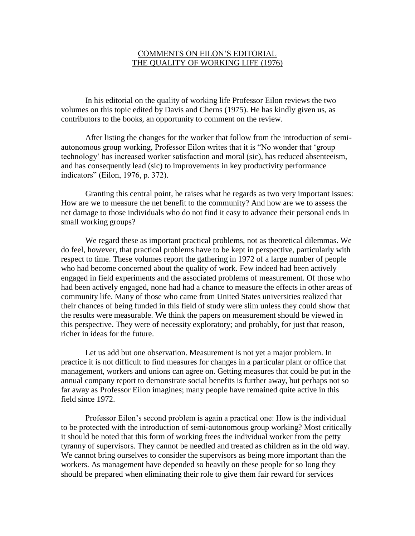## COMMENTS ON EILON'S EDITORIAL THE QUALITY OF WORKING LIFE (1976)

In his editorial on the quality of working life Professor Eilon reviews the two volumes on this topic edited by Davis and Cherns (1975). He has kindly given us, as contributors to the books, an opportunity to comment on the review.

After listing the changes for the worker that follow from the introduction of semiautonomous group working, Professor Eilon writes that it is "No wonder that 'group technology' has increased worker satisfaction and moral (sic), has reduced absenteeism, and has consequently lead (sic) to improvements in key productivity performance indicators" (Eilon, 1976, p. 372).

Granting this central point, he raises what he regards as two very important issues: How are we to measure the net benefit to the community? And how are we to assess the net damage to those individuals who do not find it easy to advance their personal ends in small working groups?

We regard these as important practical problems, not as theoretical dilemmas. We do feel, however, that practical problems have to be kept in perspective, particularly with respect to time. These volumes report the gathering in 1972 of a large number of people who had become concerned about the quality of work. Few indeed had been actively engaged in field experiments and the associated problems of measurement. Of those who had been actively engaged, none had had a chance to measure the effects in other areas of community life. Many of those who came from United States universities realized that their chances of being funded in this field of study were slim unless they could show that the results were measurable. We think the papers on measurement should be viewed in this perspective. They were of necessity exploratory; and probably, for just that reason, richer in ideas for the future.

Let us add but one observation. Measurement is not yet a major problem. In practice it is not difficult to find measures for changes in a particular plant or office that management, workers and unions can agree on. Getting measures that could be put in the annual company report to demonstrate social benefits is further away, but perhaps not so far away as Professor Eilon imagines; many people have remained quite active in this field since 1972.

Professor Eilon's second problem is again a practical one: How is the individual to be protected with the introduction of semi-autonomous group working? Most critically it should be noted that this form of working frees the individual worker from the petty tyranny of supervisors. They cannot be needled and treated as children as in the old way. We cannot bring ourselves to consider the supervisors as being more important than the workers. As management have depended so heavily on these people for so long they should be prepared when eliminating their role to give them fair reward for services